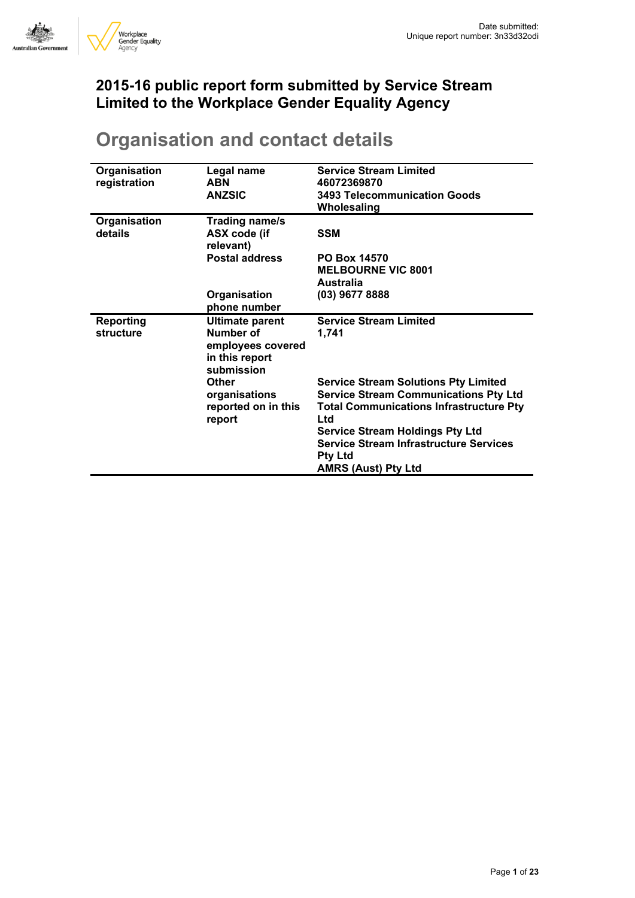

## **2015-16 public report form submitted by Service Stream Limited to the Workplace Gender Equality Agency**

| Organisation<br>registration  | Legal name<br>ABN<br><b>ANZSIC</b>                                                       | <b>Service Stream Limited</b><br>46072369870<br><b>3493 Telecommunication Goods</b><br>Wholesaling                                                   |
|-------------------------------|------------------------------------------------------------------------------------------|------------------------------------------------------------------------------------------------------------------------------------------------------|
| Organisation<br>details       | Trading name/s<br>ASX code (if<br>relevant)<br><b>Postal address</b>                     | <b>SSM</b><br><b>PO Box 14570</b><br><b>MELBOURNE VIC 8001</b>                                                                                       |
|                               |                                                                                          | <b>Australia</b>                                                                                                                                     |
|                               | Organisation<br>phone number                                                             | (03) 9677 8888                                                                                                                                       |
| <b>Reporting</b><br>structure | <b>Ultimate parent</b><br>Number of<br>employees covered<br>in this report<br>submission | <b>Service Stream Limited</b><br>1,741                                                                                                               |
|                               | Other<br>organisations<br>reported on in this<br>report                                  | <b>Service Stream Solutions Pty Limited</b><br><b>Service Stream Communications Pty Ltd</b><br><b>Total Communications Infrastructure Pty</b><br>Ltd |
|                               |                                                                                          | <b>Service Stream Holdings Pty Ltd</b><br><b>Service Stream Infrastructure Services</b><br><b>Pty Ltd</b><br><b>AMRS (Aust) Pty Ltd</b>              |

# **Organisation and contact details**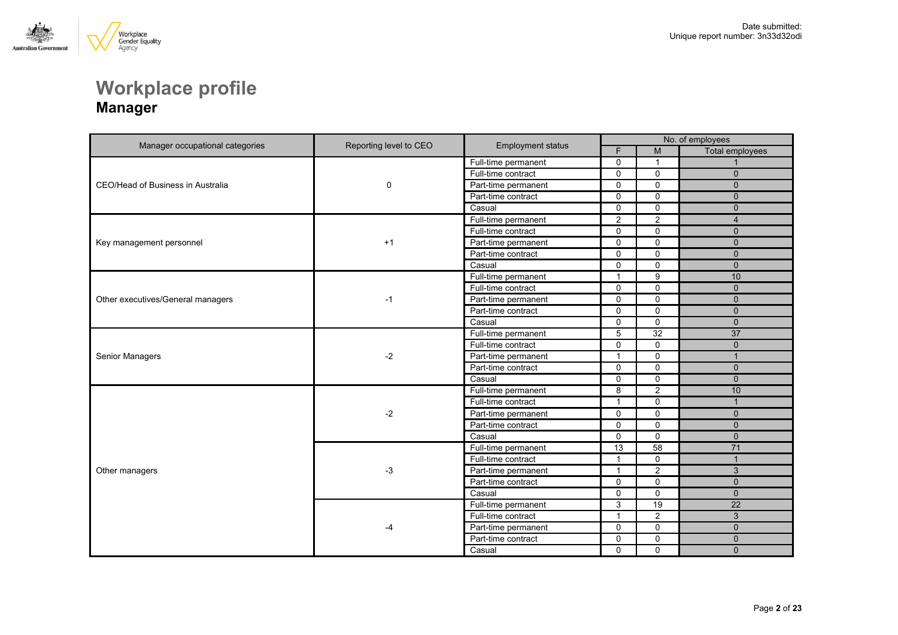

## **Workplace profile Manager**

| Manager occupational categories   | Reporting level to CEO | <b>Employment status</b> | No. of employees |                 |                 |
|-----------------------------------|------------------------|--------------------------|------------------|-----------------|-----------------|
|                                   |                        |                          | F                | M               | Total employees |
|                                   |                        | Full-time permanent      | $\mathbf 0$      | $\mathbf{1}$    |                 |
|                                   |                        | Full-time contract       | $\mathbf 0$      | $\mathbf 0$     | $\mathbf{0}$    |
| CEO/Head of Business in Australia | 0                      | Part-time permanent      | $\mathbf 0$      | $\mathbf 0$     | $\Omega$        |
|                                   |                        | Part-time contract       | $\mathbf 0$      | $\mathbf 0$     | $\mathbf{0}$    |
|                                   |                        | Casual                   | $\mathbf 0$      | $\mathbf 0$     | $\mathbf{0}$    |
|                                   |                        | Full-time permanent      | 2                | 2               | $\overline{4}$  |
|                                   |                        | Full-time contract       | $\mathbf 0$      | $\mathbf 0$     | $\mathbf{0}$    |
| Key management personnel          | $+1$                   | Part-time permanent      | $\mathbf 0$      | $\mathbf 0$     | $\Omega$        |
|                                   |                        | Part-time contract       | $\mathbf 0$      | $\mathbf 0$     | $\mathbf{0}$    |
|                                   |                        | Casual                   | $\mathbf 0$      | $\mathbf 0$     | $\Omega$        |
|                                   |                        | Full-time permanent      | 1                | 9               | 10              |
|                                   |                        | Full-time contract       | $\mathbf 0$      | $\mathbf 0$     | $\Omega$        |
| Other executives/General managers | $-1$                   | Part-time permanent      | $\mathbf 0$      | $\mathbf 0$     | $\mathbf{0}$    |
|                                   |                        | Part-time contract       | $\mathbf 0$      | $\mathbf 0$     | $\mathbf{0}$    |
|                                   |                        | Casual                   | $\Omega$         | $\mathbf 0$     | $\Omega$        |
|                                   |                        | Full-time permanent      | $\overline{5}$   | $\overline{32}$ | $\overline{37}$ |
|                                   | $-2$                   | Full-time contract       | $\Omega$         | $\Omega$        | $\Omega$        |
| Senior Managers                   |                        | Part-time permanent      | $\mathbf{1}$     | $\mathbf 0$     | $\mathbf{1}$    |
|                                   |                        | Part-time contract       | $\Omega$         | $\mathbf 0$     | $\Omega$        |
|                                   |                        | Casual                   | $\mathbf 0$      | $\mathbf 0$     | $\mathbf{0}$    |
|                                   |                        | Full-time permanent      | 8                | $\overline{2}$  | 10              |
|                                   |                        | Full-time contract       | $\mathbf{1}$     | $\mathbf 0$     | $\mathbf{1}$    |
|                                   | $-2$                   | Part-time permanent      | $\mathbf 0$      | $\mathbf 0$     | $\mathbf{0}$    |
|                                   |                        | Part-time contract       | $\mathbf 0$      | $\mathbf 0$     | $\Omega$        |
|                                   |                        | Casual                   | $\mathbf 0$      | $\mathbf 0$     | $\mathbf{0}$    |
|                                   |                        | Full-time permanent      | 13               | 58              | 71              |
|                                   |                        | Full-time contract       | $\mathbf{1}$     | $\mathbf 0$     | $\mathbf{1}$    |
| Other managers                    | $-3$                   | Part-time permanent      | $\mathbf{1}$     | $\mathbf{2}$    | $\mathbf{3}$    |
|                                   |                        | Part-time contract       | $\mathbf 0$      | $\mathbf 0$     | $\mathbf{0}$    |
|                                   |                        | Casual                   | $\mathbf 0$      | $\mathbf 0$     | $\mathbf{0}$    |
|                                   |                        | Full-time permanent      | 3                | 19              | $\overline{22}$ |
|                                   |                        | Full-time contract       | $\mathbf{1}$     | $\mathbf{2}$    | $\mathbf{3}$    |
|                                   | -4                     | Part-time permanent      | $\mathbf 0$      | $\mathbf 0$     | $\Omega$        |
|                                   |                        | Part-time contract       | $\mathbf 0$      | $\mathsf 0$     | $\mathbf{0}$    |
|                                   |                        | Casual                   | $\Omega$         | $\Omega$        | $\Omega$        |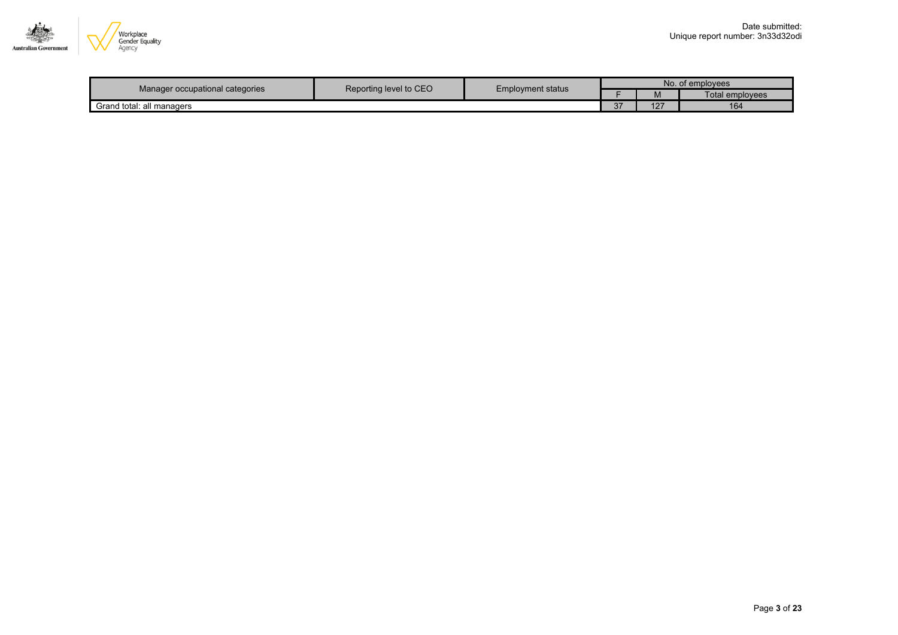

|                                 | Reporting level to CEO<br><b>Employment status</b> |  | No. of employees |      |                 |  |
|---------------------------------|----------------------------------------------------|--|------------------|------|-----------------|--|
| Manager occupational categories |                                                    |  |                  | IVI. | Total employees |  |
| Grand total: all managers       |                                                    |  | $\sim$<br>ر د    | 127  | 164             |  |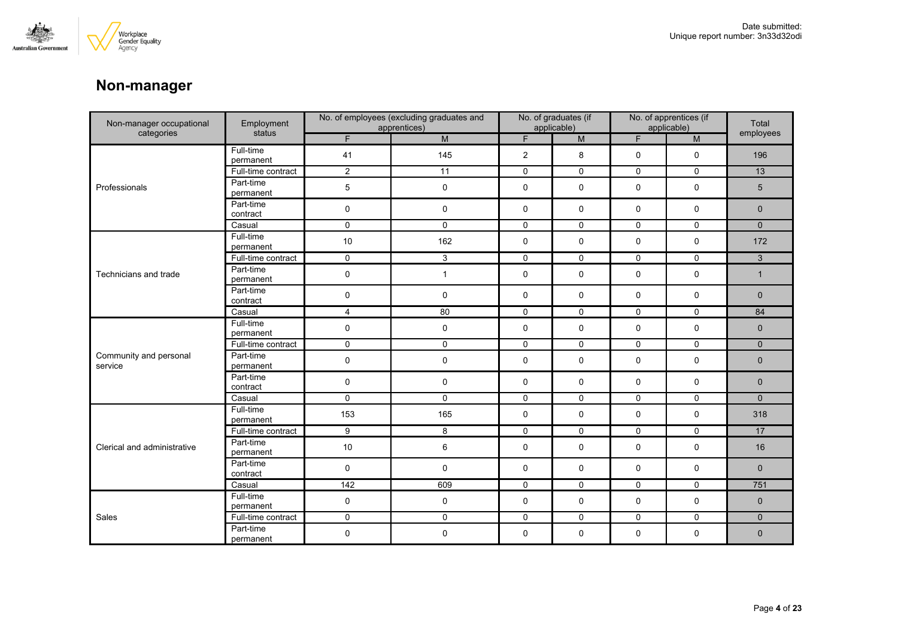

## **Non-manager**

| Non-manager occupational          | Employment             | No. of employees (excluding graduates and<br>apprentices) |                | No. of graduates (if<br>applicable) |              | No. of apprentices (if<br>applicable) |             | Total          |
|-----------------------------------|------------------------|-----------------------------------------------------------|----------------|-------------------------------------|--------------|---------------------------------------|-------------|----------------|
| categories                        | status                 | F.                                                        | ${\sf M}$      | F.                                  | M            | F.                                    | M           | employees      |
|                                   | Full-time<br>permanent | 41                                                        | 145            | $\overline{2}$                      | 8            | 0                                     | $\mathbf 0$ | 196            |
|                                   | Full-time contract     | $\overline{c}$                                            | 11             | 0                                   | 0            | 0                                     | 0           | 13             |
| Professionals                     | Part-time<br>permanent | $5\phantom{.0}$                                           | $\mathbf 0$    | 0                                   | $\mathbf 0$  | 0                                     | 0           | 5              |
|                                   | Part-time<br>contract  | 0                                                         | 0              | 0                                   | 0            | 0                                     | 0           | $\mathbf 0$    |
|                                   | Casual                 | $\overline{0}$                                            | $\overline{0}$ | $\mathbf 0$                         | $\mathbf 0$  | $\mathbf 0$                           | $\mathbf 0$ | $\overline{0}$ |
|                                   | Full-time<br>permanent | 10                                                        | 162            | 0                                   | 0            | 0                                     | $\mathbf 0$ | 172            |
|                                   | Full-time contract     | 0                                                         | 3              | $\mathsf{O}$                        | $\mathsf{O}$ | $\mathsf{O}$                          | 0           | $\mathbf{3}$   |
| Technicians and trade             | Part-time<br>permanent | 0                                                         | $\mathbf{1}$   | 0                                   | $\mathbf 0$  | 0                                     | 0           | $\mathbf{1}$   |
|                                   | Part-time<br>contract  | 0                                                         | $\mathbf 0$    | 0                                   | $\mathbf 0$  | 0                                     | 0           | $\mathbf 0$    |
|                                   | Casual                 | $\overline{4}$                                            | 80             | $\mathsf{O}$                        | $\mathsf 0$  | $\mathbf 0$                           | $\mathbf 0$ | 84             |
|                                   | Full-time<br>permanent | 0                                                         | $\mathbf 0$    | 0                                   | 0            | 0                                     | 0           | $\mathbf 0$    |
|                                   | Full-time contract     | $\mathbf 0$                                               | $\mathbf 0$    | $\mathsf{O}$                        | $\mathbf 0$  | $\mathbf 0$                           | $\mathbf 0$ | $\overline{0}$ |
| Community and personal<br>service | Part-time<br>permanent | 0                                                         | 0              | 0                                   | 0            | 0                                     | 0           | $\mathbf 0$    |
|                                   | Part-time<br>contract  | 0                                                         | $\mathbf 0$    | 0                                   | $\mathbf 0$  | 0                                     | $\mathbf 0$ | $\mathbf{0}$   |
|                                   | Casual                 | $\mathbf 0$                                               | $\mathbf 0$    | 0                                   | 0            | 0                                     | $\mathbf 0$ | $\mathbf{0}$   |
|                                   | Full-time<br>permanent | 153                                                       | 165            | 0                                   | 0            | 0                                     | 0           | 318            |
|                                   | Full-time contract     | 9                                                         | 8              | $\mathsf{O}\xspace$                 | $\mathsf{O}$ | $\mathsf{O}\xspace$                   | $\mathbf 0$ | 17             |
| Clerical and administrative       | Part-time<br>permanent | 10                                                        | $\,6\,$        | 0                                   | 0            | 0                                     | 0           | 16             |
|                                   | Part-time<br>contract  | $\mathbf 0$                                               | $\mathbf 0$    | 0                                   | $\mathbf 0$  | 0                                     | $\mathbf 0$ | $\mathbf{0}$   |
|                                   | Casual                 | 142                                                       | 609            | $\mathsf{O}$                        | $\mathbf 0$  | $\mathsf{O}$                          | $\mathbf 0$ | 751            |
|                                   | Full-time<br>permanent | 0                                                         | $\mathbf 0$    | 0                                   | 0            | $\mathbf 0$                           | 0           | $\mathbf 0$    |
| Sales                             | Full-time contract     | 0                                                         | $\mathbf 0$    | $\mathsf{O}$                        | $\mathsf{O}$ | $\mathsf{O}$                          | $\mathbf 0$ | $\mathbf 0$    |
|                                   | Part-time<br>permanent | 0                                                         | 0              | 0                                   | 0            | 0                                     | 0           | $\mathbf 0$    |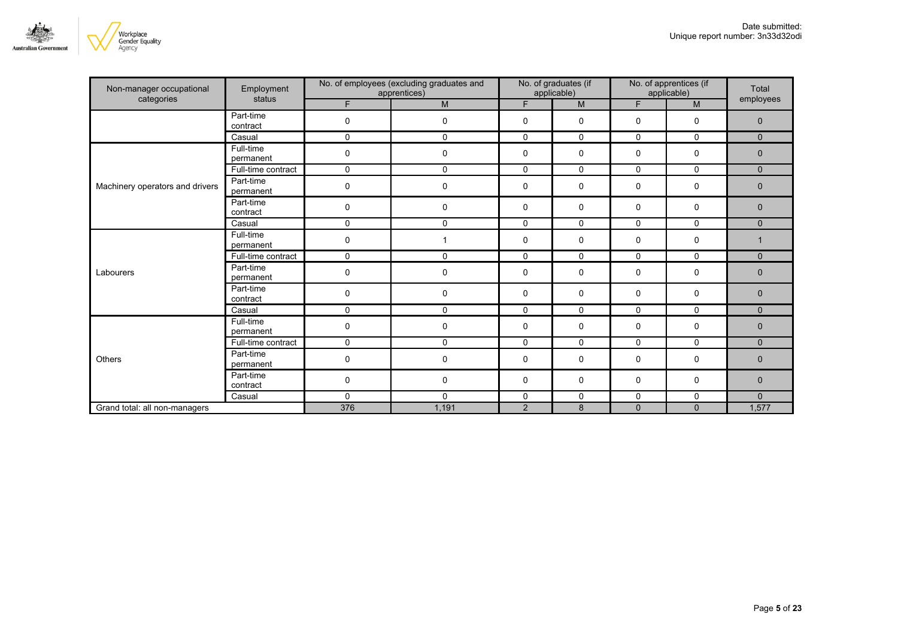

| Non-manager occupational                | Employment             | No. of employees (excluding graduates and<br>apprentices) |              | No. of graduates (if<br>applicable) |              | No. of apprentices (if<br>applicable) |              | Total<br>employees |
|-----------------------------------------|------------------------|-----------------------------------------------------------|--------------|-------------------------------------|--------------|---------------------------------------|--------------|--------------------|
| categories                              | status                 | F.                                                        | M            | F                                   | M            | F                                     | M            |                    |
|                                         | Part-time<br>contract  | 0                                                         | $\mathbf 0$  | 0                                   | 0            | 0                                     | $\mathbf 0$  | $\mathbf{0}$       |
|                                         | Casual                 | $\Omega$                                                  | $\Omega$     | 0                                   | $\Omega$     | $\Omega$                              | 0            | $\Omega$           |
|                                         | Full-time<br>permanent | 0                                                         | $\pmb{0}$    | 0                                   | 0            | 0                                     | 0            | 0                  |
|                                         | Full-time contract     | $\mathbf{0}$                                              | $\mathbf{0}$ | 0                                   | $\mathbf{0}$ | $\Omega$                              | $\Omega$     | $\Omega$           |
| Machinery operators and drivers         | Part-time<br>permanent | $\mathbf 0$                                               | $\pmb{0}$    | 0                                   | 0            | 0                                     | $\mathbf 0$  | 0                  |
|                                         | Part-time<br>contract  | 0                                                         | $\mathbf 0$  | $\mathbf 0$                         | 0            | 0                                     | $\mathbf 0$  | $\mathbf{0}$       |
|                                         | Casual                 | $\mathbf{0}$                                              | $\mathbf{0}$ | $\Omega$                            | $\mathbf{0}$ | $\Omega$                              | $\Omega$     | $\Omega$           |
|                                         | Full-time<br>permanent | $\mathbf 0$                                               | $\mathbf{1}$ | $\mathbf 0$                         | 0            | 0                                     | $\mathbf 0$  | $\mathbf 1$        |
|                                         | Full-time contract     | 0                                                         | $\mathbf 0$  | 0                                   | 0            | 0                                     | 0            | $\mathbf{0}$       |
| Labourers                               | Part-time<br>permanent | 0                                                         | 0            | 0                                   | 0            | 0                                     | 0            | $\mathbf 0$        |
|                                         | Part-time<br>contract  | $\mathbf 0$                                               | $\mathbf 0$  | $\mathbf 0$                         | 0            | 0                                     | $\mathbf 0$  | $\mathbf{0}$       |
| Others<br>Grand total: all non-managers | Casual                 | $\Omega$                                                  | $\Omega$     | $\mathbf 0$                         | $\Omega$     | $\Omega$                              | 0            | $\Omega$           |
|                                         | Full-time<br>permanent | 0                                                         | 0            | 0                                   | 0            | 0                                     | 0            | $\mathbf 0$        |
|                                         | Full-time contract     | 0                                                         | $\mathbf 0$  | 0                                   | 0            | 0                                     | 0            | $\overline{0}$     |
|                                         | Part-time<br>permanent | $\Omega$                                                  | $\mathbf 0$  | 0                                   | 0            | 0                                     | $\mathbf 0$  | $\overline{0}$     |
|                                         | Part-time<br>contract  | 0                                                         | $\pmb{0}$    | 0                                   | 0            | 0                                     | 0            | $\mathbf 0$        |
|                                         | Casual                 | 0                                                         | $\mathbf 0$  | 0                                   | 0            | 0                                     | 0            | $\overline{0}$     |
|                                         |                        | 376                                                       | 1,191        | $\overline{2}$                      | 8            | $\mathbf{0}$                          | $\mathbf{0}$ | 1,577              |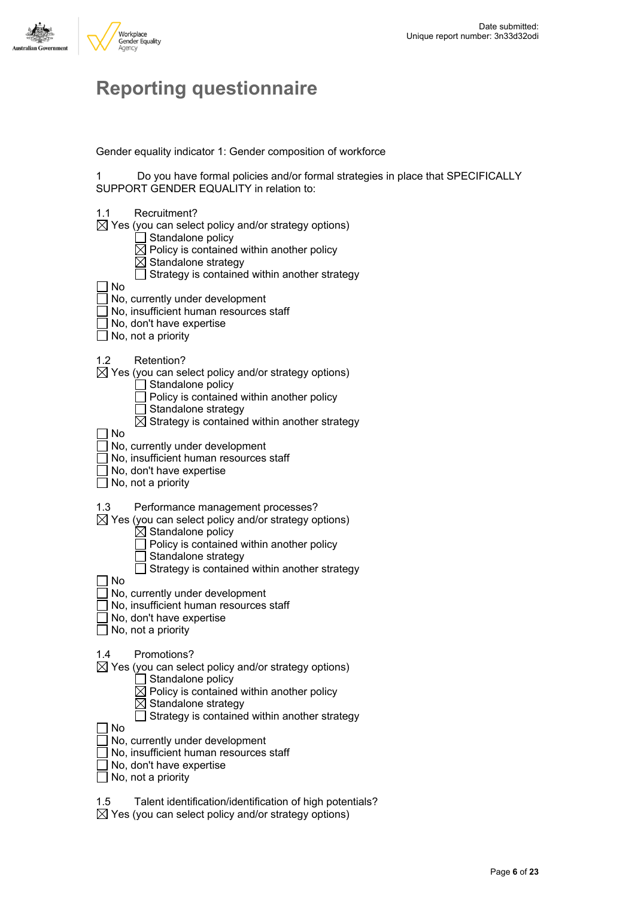

# **Reporting questionnaire**

Gender equality indicator 1: Gender composition of workforce

1 Do you have formal policies and/or formal strategies in place that SPECIFICALLY SUPPORT GENDER EQUALITY in relation to:

- 1.1 Recruitment?
- $\boxtimes$  Yes (you can select policy and/or strategy options)
	- $\Box$  Standalone policy
	- $\overline{\boxtimes}$  Policy is contained within another policy
	- $\overline{\boxtimes}$  Standalone strategy
	- $\Box$  Strategy is contained within another strategy

No

- No, currently under development
- No, insufficient human resources staff
- No, don't have expertise
- $\Box$  No, not a priority
- 1.2 Retention?
- $\boxtimes$  Yes (you can select policy and/or strategy options)
	- $\Box$  Standalone policy
	- $\Box$  Policy is contained within another policy
	- $\Box$  Standalone strategy
		- $\boxtimes$  Strategy is contained within another strategy

No

- No, currently under development
- No, insufficient human resources staff
- No, don't have expertise
- $\Box$  No, not a priority
- 1.3 Performance management processes?
- $\boxtimes$  Yes (you can select policy and/or strategy options)
	- $\overline{\boxtimes}$  Standalone policy
		- $\overline{\top}$  Policy is contained within another policy
		- Standalone strategy
		- $\Box$  Strategy is contained within another strategy

 $\Box$  No

- $\Box$  No, currently under development
- No, insufficient human resources staff
- No, don't have expertise
- $\Box$  No, not a priority

1.4 Promotions?

- $\boxtimes$  Yes (you can select policy and/or strategy options)
	- $\Box$  Standalone policy
	- $\boxtimes$  Policy is contained within another policy
	- $\boxtimes$  Standalone strategy
	- $\Box$  Strategy is contained within another strategy

 $\Box$  No

- No, currently under development
- No, insufficient human resources staff
- $\overline{\overline{\phantom{x}}}$  No, don't have expertise
- $\Box$  No, not a priority
- 1.5 Talent identification/identification of high potentials?
- $\boxtimes$  Yes (you can select policy and/or strategy options)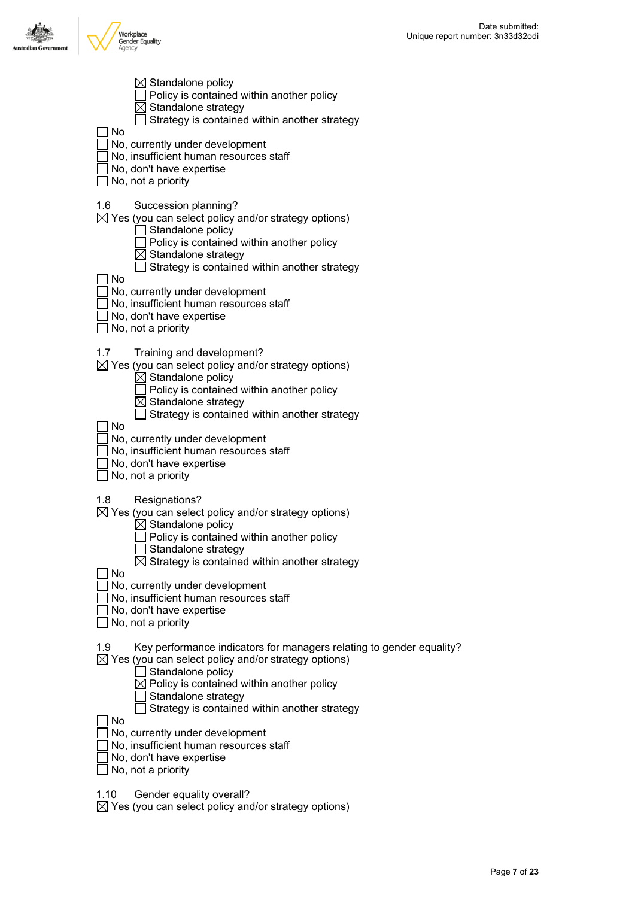

| No        | $\boxtimes$ Standalone policy<br>Policy is contained within another policy<br>Standalone strategy<br>Strategy is contained within another strategy                                                                                                                                            |
|-----------|-----------------------------------------------------------------------------------------------------------------------------------------------------------------------------------------------------------------------------------------------------------------------------------------------|
|           | No, currently under development<br>No, insufficient human resources staff<br>No, don't have expertise<br>No, not a priority                                                                                                                                                                   |
| 1.6       | Succession planning?<br>$\boxtimes$ Yes (you can select policy and/or strategy options)<br>Standalone policy<br>Policy is contained within another policy<br>Standalone strategy<br>Strategy is contained within another strategy                                                             |
| No        | No, currently under development<br>No, insufficient human resources staff<br>No, don't have expertise<br>No, not a priority                                                                                                                                                                   |
| 1.7<br>No | Training and development?<br>$\boxtimes$ Yes (you can select policy and/or strategy options)<br>$\boxtimes$ Standalone policy<br>Policy is contained within another policy<br>$\boxtimes$ Standalone strategy<br>Strategy is contained within another strategy                                |
|           | No, currently under development<br>No, insufficient human resources staff<br>No, don't have expertise<br>No, not a priority                                                                                                                                                                   |
| 1.8<br>No | Resignations?<br>$\boxtimes$ Yes (you can select policy and/or strategy options)<br>$\boxtimes$ Standalone policy<br>Policy is contained within another policy<br>Standalone strategy<br>$\boxtimes$ Strategy is contained within another strategy                                            |
|           | No, currently under development<br>No, insufficient human resources staff<br>No, don't have expertise<br>No, not a priority                                                                                                                                                                   |
| 1.9       | Key performance indicators for managers relating to gender equality?<br>$\boxtimes$ Yes (you can select policy and/or strategy options)<br>Standalone policy<br>$\boxtimes$ Policy is contained within another policy<br>Standalone strategy<br>Strategy is contained within another strategy |
| No        | No, currently under development<br>No, insufficient human resources staff<br>No, don't have expertise<br>No, not a priority                                                                                                                                                                   |

1.10 Gender equality overall?

Yes (you can select policy and/or strategy options)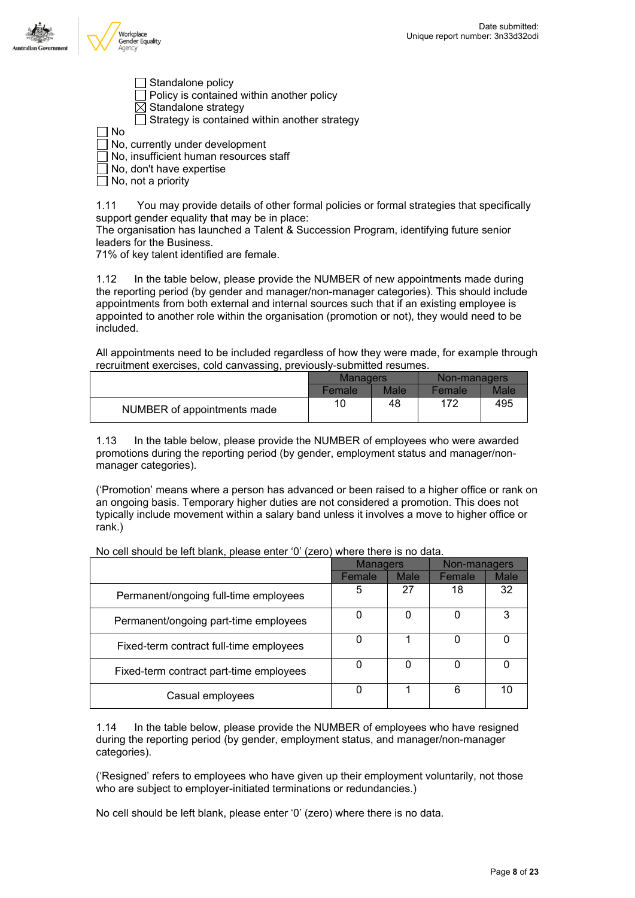



- Standalone policy Policy is contained within another policy
- $\boxtimes$  Standalone strategy
- $\Box$  Strategy is contained within another strategy

 $\Box$  No

- No, currently under development
- No, insufficient human resources staff
- No, don't have expertise
- $\Box$  No, not a priority

1.11 You may provide details of other formal policies or formal strategies that specifically support gender equality that may be in place:

The organisation has launched a Talent & Succession Program, identifying future senior leaders for the Business.

71% of key talent identified are female.

1.12 In the table below, please provide the NUMBER of new appointments made during the reporting period (by gender and manager/non-manager categories). This should include appointments from both external and internal sources such that if an existing employee is appointed to another role within the organisation (promotion or not), they would need to be included.

All appointments need to be included regardless of how they were made, for example through recruitment exercises, cold canvassing, previously-submitted resumes.

|                             | <b>Managers</b> |             | Non-managers  |      |
|-----------------------------|-----------------|-------------|---------------|------|
|                             | Female          | <b>Male</b> | <b>Female</b> | Male |
| NUMBER of appointments made | 10              | 48          | 172           | 495  |

1.13 In the table below, please provide the NUMBER of employees who were awarded promotions during the reporting period (by gender, employment status and manager/nonmanager categories).

('Promotion' means where a person has advanced or been raised to a higher office or rank on an ongoing basis. Temporary higher duties are not considered a promotion. This does not typically include movement within a salary band unless it involves a move to higher office or rank.)

|                                         | <b>Managers</b> |             | Non-managers |             |
|-----------------------------------------|-----------------|-------------|--------------|-------------|
|                                         | Female          | <b>Male</b> | Female       | <b>Male</b> |
| Permanent/ongoing full-time employees   | 5               | 27          | 18           | 32          |
| Permanent/ongoing part-time employees   | 0               | 0           | 0            | 3           |
| Fixed-term contract full-time employees | 0               |             | 0            |             |
| Fixed-term contract part-time employees | 0               | 0           | 0            |             |
| Casual employees                        | 0               |             | 6            | 10          |

No cell should be left blank, please enter '0' (zero) where there is no data.

1.14 In the table below, please provide the NUMBER of employees who have resigned during the reporting period (by gender, employment status, and manager/non-manager categories).

('Resigned' refers to employees who have given up their employment voluntarily, not those who are subject to employer-initiated terminations or redundancies.)

No cell should be left blank, please enter '0' (zero) where there is no data.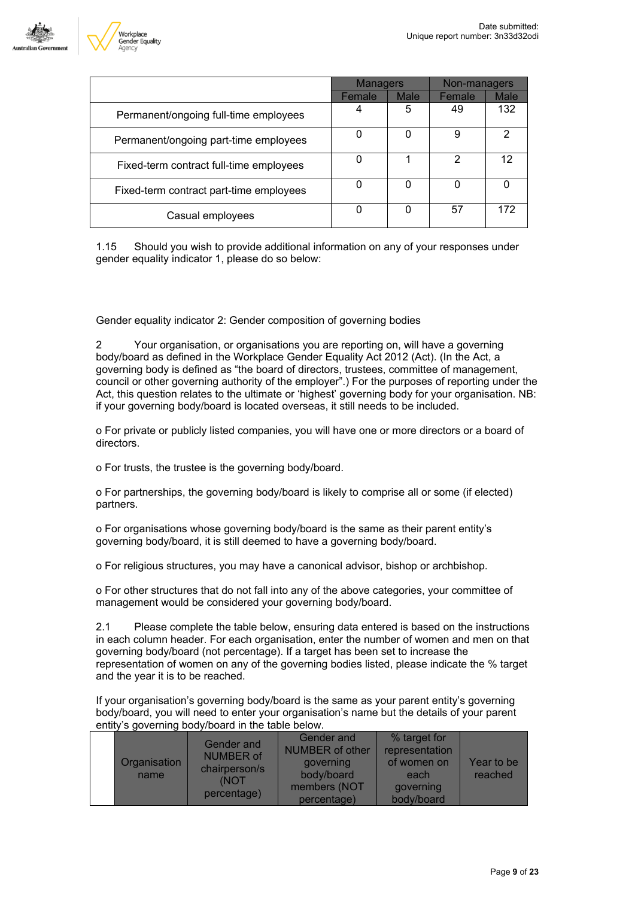

|                                         | <b>Managers</b> |      | Non-managers |             |
|-----------------------------------------|-----------------|------|--------------|-------------|
|                                         | Female          | Male | Female       | <b>Male</b> |
| Permanent/ongoing full-time employees   |                 | 5    | 49           | 132         |
| Permanent/ongoing part-time employees   |                 | 0    | 9            | 2           |
| Fixed-term contract full-time employees |                 |      | 2            | 12          |
| Fixed-term contract part-time employees |                 | 0    | U            |             |
| Casual employees                        |                 | 0    | 57           | 172         |

1.15 Should you wish to provide additional information on any of your responses under gender equality indicator 1, please do so below:

Gender equality indicator 2: Gender composition of governing bodies

2 Your organisation, or organisations you are reporting on, will have a governing body/board as defined in the Workplace Gender Equality Act 2012 (Act). (In the Act, a governing body is defined as "the board of directors, trustees, committee of management, council or other governing authority of the employer".) For the purposes of reporting under the Act, this question relates to the ultimate or 'highest' governing body for your organisation. NB: if your governing body/board is located overseas, it still needs to be included.

o For private or publicly listed companies, you will have one or more directors or a board of directors.

o For trusts, the trustee is the governing body/board.

o For partnerships, the governing body/board is likely to comprise all or some (if elected) partners.

o For organisations whose governing body/board is the same as their parent entity's governing body/board, it is still deemed to have a governing body/board.

o For religious structures, you may have a canonical advisor, bishop or archbishop.

o For other structures that do not fall into any of the above categories, your committee of management would be considered your governing body/board.

2.1 Please complete the table below, ensuring data entered is based on the instructions in each column header. For each organisation, enter the number of women and men on that governing body/board (not percentage). If a target has been set to increase the representation of women on any of the governing bodies listed, please indicate the % target and the year it is to be reached.

If your organisation's governing body/board is the same as your parent entity's governing body/board, you will need to enter your organisation's name but the details of your parent entity's governing body/board in the table below.

| Organisation<br>name | Gender and<br><b>NUMBER of</b><br>chairperson/s<br>(NOT<br>percentage) | Gender and<br><b>NUMBER of other</b><br>governing<br>body/board<br>members (NOT<br>percentage) | % target for<br>representation<br>of women on<br>each<br>governing<br>body/board | Year to be<br>reached |
|----------------------|------------------------------------------------------------------------|------------------------------------------------------------------------------------------------|----------------------------------------------------------------------------------|-----------------------|
|----------------------|------------------------------------------------------------------------|------------------------------------------------------------------------------------------------|----------------------------------------------------------------------------------|-----------------------|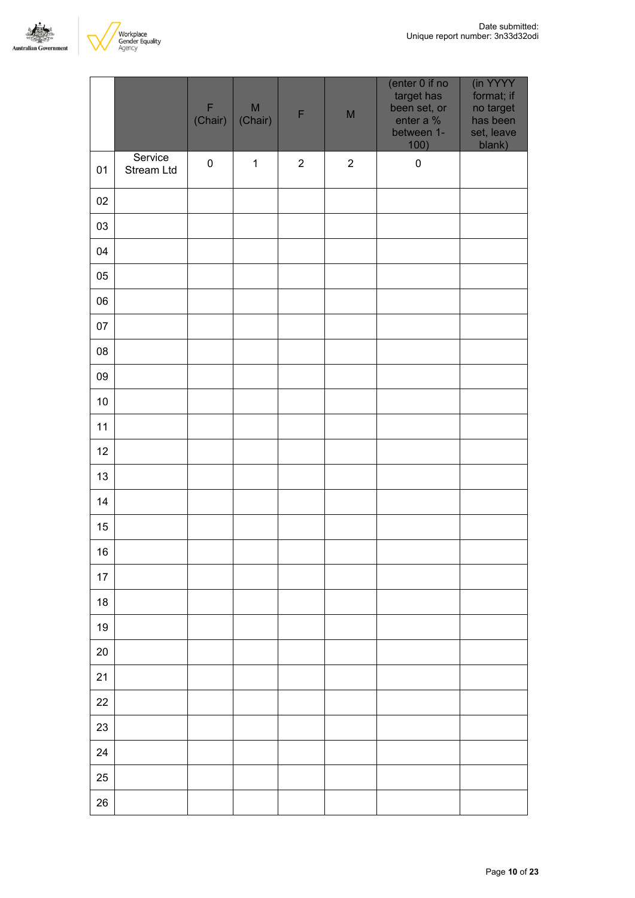



|            |                       | $\mathsf F$<br>(Chair) | $\mathsf{M}% _{T}=\mathsf{M}_{T}\!\left( a,b\right) ,\ \mathsf{M}_{T}=\mathsf{M}_{T}\!\left( a,b\right) ,$<br>(Chair) | F              | M          | (enter 0 if no<br>target has<br>been set, or<br>enter a %<br>between 1-<br>100) | (in YYYY<br>format; if<br>no target<br>has been<br>set, leave<br>blank) |
|------------|-----------------------|------------------------|-----------------------------------------------------------------------------------------------------------------------|----------------|------------|---------------------------------------------------------------------------------|-------------------------------------------------------------------------|
| 01         | Service<br>Stream Ltd | $\pmb{0}$              | $\mathbf{1}$                                                                                                          | $\overline{2}$ | $\sqrt{2}$ | $\pmb{0}$                                                                       |                                                                         |
| 02         |                       |                        |                                                                                                                       |                |            |                                                                                 |                                                                         |
| 03         |                       |                        |                                                                                                                       |                |            |                                                                                 |                                                                         |
| 04         |                       |                        |                                                                                                                       |                |            |                                                                                 |                                                                         |
| 05         |                       |                        |                                                                                                                       |                |            |                                                                                 |                                                                         |
| 06         |                       |                        |                                                                                                                       |                |            |                                                                                 |                                                                         |
| 07         |                       |                        |                                                                                                                       |                |            |                                                                                 |                                                                         |
| ${\bf 08}$ |                       |                        |                                                                                                                       |                |            |                                                                                 |                                                                         |
| 09         |                       |                        |                                                                                                                       |                |            |                                                                                 |                                                                         |
| $10$       |                       |                        |                                                                                                                       |                |            |                                                                                 |                                                                         |
| $11$       |                       |                        |                                                                                                                       |                |            |                                                                                 |                                                                         |
| 12         |                       |                        |                                                                                                                       |                |            |                                                                                 |                                                                         |
| 13         |                       |                        |                                                                                                                       |                |            |                                                                                 |                                                                         |
| 14         |                       |                        |                                                                                                                       |                |            |                                                                                 |                                                                         |
| 15         |                       |                        |                                                                                                                       |                |            |                                                                                 |                                                                         |
| $16\,$     |                       |                        |                                                                                                                       |                |            |                                                                                 |                                                                         |
| $17\,$     |                       |                        |                                                                                                                       |                |            |                                                                                 |                                                                         |
| 18         |                       |                        |                                                                                                                       |                |            |                                                                                 |                                                                         |
| 19         |                       |                        |                                                                                                                       |                |            |                                                                                 |                                                                         |
| 20         |                       |                        |                                                                                                                       |                |            |                                                                                 |                                                                         |
| 21         |                       |                        |                                                                                                                       |                |            |                                                                                 |                                                                         |
| $22\,$     |                       |                        |                                                                                                                       |                |            |                                                                                 |                                                                         |
| 23         |                       |                        |                                                                                                                       |                |            |                                                                                 |                                                                         |
| 24         |                       |                        |                                                                                                                       |                |            |                                                                                 |                                                                         |
| 25         |                       |                        |                                                                                                                       |                |            |                                                                                 |                                                                         |
| 26         |                       |                        |                                                                                                                       |                |            |                                                                                 |                                                                         |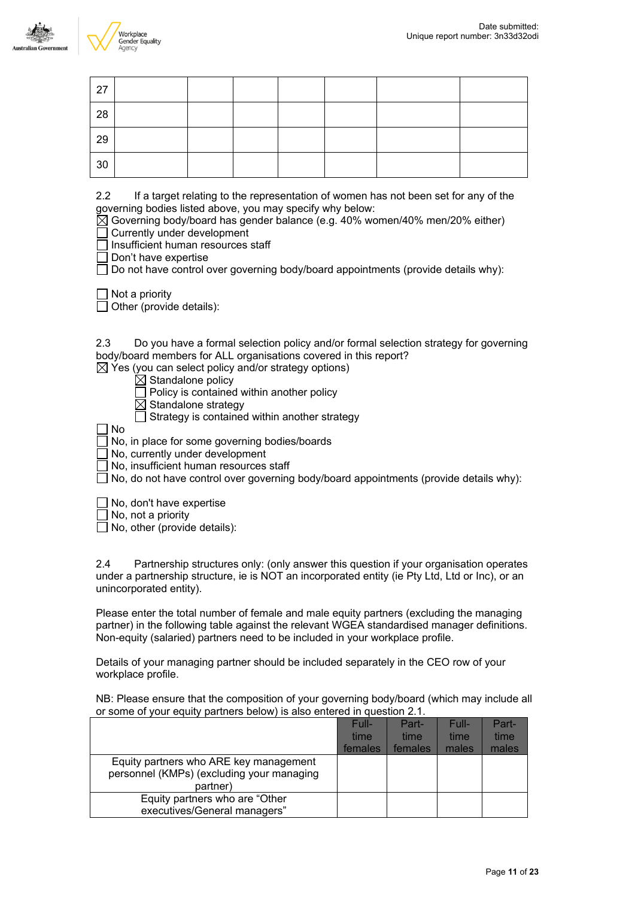



| 27 |  |  |  |  |
|----|--|--|--|--|
| 28 |  |  |  |  |
| 29 |  |  |  |  |
| 30 |  |  |  |  |

2.2 If a target relating to the representation of women has not been set for any of the governing bodies listed above, you may specify why below:

 $\overline{[} \times ]$  Governing body/board has gender balance (e.g. 40% women/40% men/20% either) Currently under development

Insufficient human resources staff

Don't have expertise

 $\Box$  Do not have control over governing body/board appointments (provide details why):

 $\Box$  Not a priority

 $\Box$  Other (provide details):

2.3 Do you have a formal selection policy and/or formal selection strategy for governing body/board members for ALL organisations covered in this report?

 $\boxtimes$  Yes (you can select policy and/or strategy options)

 $\boxtimes$  Standalone policy

 $\Box$  Policy is contained within another policy

 $\boxtimes$  Standalone strategy

 $\Box$  Strategy is contained within another strategy

 $\Box$  No

No, in place for some governing bodies/boards

No, currently under development

 $\Box$  No. insufficient human resources staff

 $\Box$  No, do not have control over governing body/board appointments (provide details why):

 $\Box$  No, don't have expertise

No, not a priority

 $\Box$  No, other (provide details):

2.4 Partnership structures only: (only answer this question if your organisation operates under a partnership structure, ie is NOT an incorporated entity (ie Pty Ltd, Ltd or Inc), or an unincorporated entity).

Please enter the total number of female and male equity partners (excluding the managing partner) in the following table against the relevant WGEA standardised manager definitions. Non-equity (salaried) partners need to be included in your workplace profile.

Details of your managing partner should be included separately in the CEO row of your workplace profile.

NB: Please ensure that the composition of your governing body/board (which may include all or some of your equity partners below) is also entered in question 2.1.

|                                                                                     | Full-<br>time<br>females | Part-<br>time<br>females | Full-<br>time<br>males | Part-<br>time<br>males |
|-------------------------------------------------------------------------------------|--------------------------|--------------------------|------------------------|------------------------|
| Equity partners who ARE key management<br>personnel (KMPs) (excluding your managing |                          |                          |                        |                        |
| partner)                                                                            |                          |                          |                        |                        |
| Equity partners who are "Other"                                                     |                          |                          |                        |                        |
| executives/General managers"                                                        |                          |                          |                        |                        |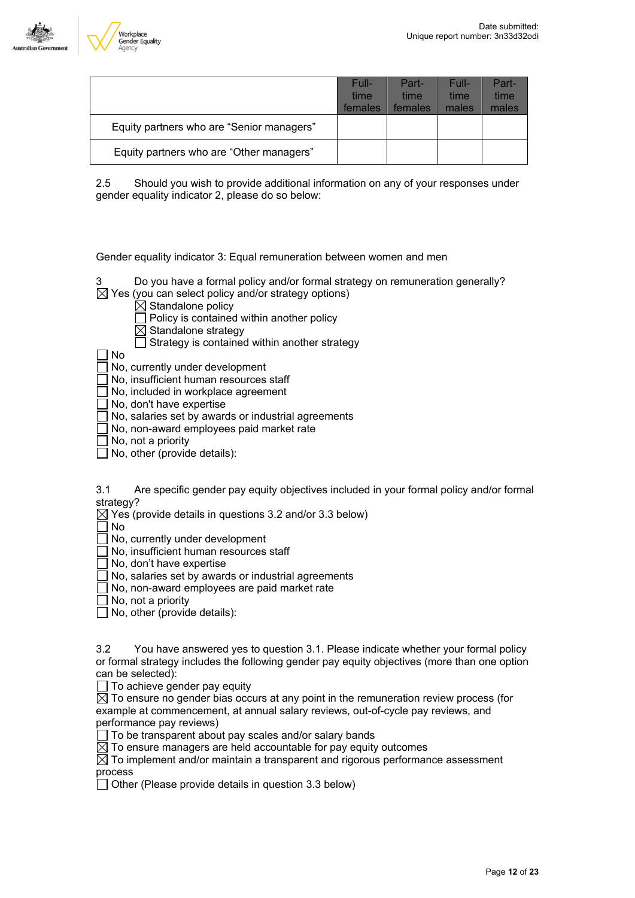



|                                           | Full-<br>time<br>females | Part-<br>time<br>females | Full-<br>time<br>males | Part-<br>time<br>males |
|-------------------------------------------|--------------------------|--------------------------|------------------------|------------------------|
| Equity partners who are "Senior managers" |                          |                          |                        |                        |
| Equity partners who are "Other managers"  |                          |                          |                        |                        |

2.5 Should you wish to provide additional information on any of your responses under gender equality indicator 2, please do so below:

Gender equality indicator 3: Equal remuneration between women and men

Do you have a formal policy and/or formal strategy on remuneration generally?

- $\boxtimes$  Yes (you can select policy and/or strategy options)
	- $\overline{\boxtimes}$  Standalone policy

 $\Box$  Policy is contained within another policy

 $\boxtimes$  Standalone strategy

 $\Box$  Strategy is contained within another strategy

No

No, currently under development

No, insufficient human resources staff

No, included in workplace agreement

No, don't have expertise

No, salaries set by awards or industrial agreements

 $\bar{\exists}$  No, non-award employees paid market rate

No, not a priority

 $\Box$  No, other (provide details):

3.1 Are specific gender pay equity objectives included in your formal policy and/or formal strategy?

 $\boxtimes$  Yes (provide details in questions 3.2 and/or 3.3 below)

 $\Box$  No

No, currently under development

No, insufficient human resources staff

 $\Box$  No, don't have expertise

 $\Box$  No, salaries set by awards or industrial agreements

No, non-award employees are paid market rate

 $\Box$  No, not a priority

 $\Box$  No, other (provide details):

3.2 You have answered yes to question 3.1. Please indicate whether your formal policy or formal strategy includes the following gender pay equity objectives (more than one option can be selected):

 $\Box$  To achieve gender pay equity

 $\overline{\boxtimes}$  To ensure no gender bias occurs at any point in the remuneration review process (for example at commencement, at annual salary reviews, out-of-cycle pay reviews, and performance pay reviews)

 $\Box$  To be transparent about pay scales and/or salary bands

 $\boxtimes$  To ensure managers are held accountable for pay equity outcomes

 $\boxtimes$  To implement and/or maintain a transparent and rigorous performance assessment process

 $\Box$  Other (Please provide details in question 3.3 below)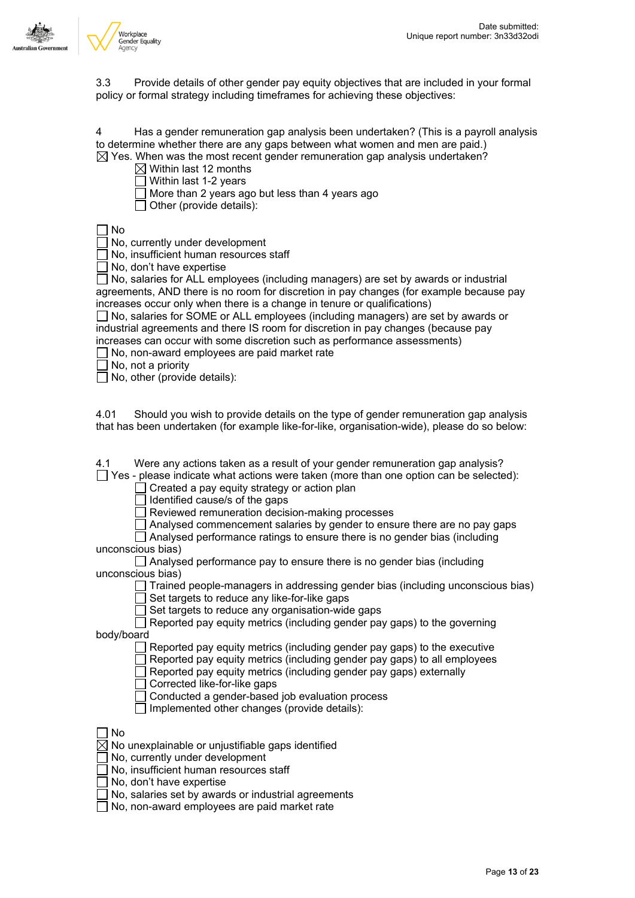

3.3 Provide details of other gender pay equity objectives that are included in your formal policy or formal strategy including timeframes for achieving these objectives:

4 Has a gender remuneration gap analysis been undertaken? (This is a payroll analysis to determine whether there are any gaps between what women and men are paid.)

 $\boxtimes$  Yes. When was the most recent gender remuneration gap analysis undertaken?

- $\boxtimes$  Within last 12 months
- $\Box$  Within last 1-2 years
- $\Box$  More than 2 years ago but less than 4 years ago
- $\Box$  Other (provide details):

No

No, currently under development

No, insufficient human resources staff

 $\Box$  No, don't have expertise

 $\Box$  No, salaries for ALL employees (including managers) are set by awards or industrial agreements, AND there is no room for discretion in pay changes (for example because pay increases occur only when there is a change in tenure or qualifications)

□ No, salaries for SOME or ALL employees (including managers) are set by awards or industrial agreements and there IS room for discretion in pay changes (because pay increases can occur with some discretion such as performance assessments)

 $\Box$  No, non-award employees are paid market rate

 $\Box$  No, not a priority

 $\Box$  No, other (provide details):

4.01 Should you wish to provide details on the type of gender remuneration gap analysis that has been undertaken (for example like-for-like, organisation-wide), please do so below:

4.1 Were any actions taken as a result of your gender remuneration gap analysis?

 $\Box$  Yes - please indicate what actions were taken (more than one option can be selected):

 $\Box$  Created a pay equity strategy or action plan

 $\Box$  Identified cause/s of the gaps

 $\Box$  Reviewed remuneration decision-making processes

 $\Box$  Analysed commencement salaries by gender to ensure there are no pay gaps

 $\Box$  Analysed performance ratings to ensure there is no gender bias (including unconscious bias)

Analysed performance pay to ensure there is no gender bias (including unconscious bias)

 $\Box$  Trained people-managers in addressing gender bias (including unconscious bias)  $\overline{\overline{\Box}}$  Set targets to reduce any like-for-like gaps

 $\Box$  Set targets to reduce any organisation-wide gaps

 $\Box$  Reported pay equity metrics (including gender pay gaps) to the governing

body/board

 $\Box$  Reported pay equity metrics (including gender pay gaps) to the executive

 $\Box$  Reported pay equity metrics (including gender pay gaps) to all employees

 $\Box$  Reported pay equity metrics (including gender pay gaps) externally

 $\Box$  Corrected like-for-like gaps

 $\overline{\phantom{a}}$  Conducted a gender-based job evaluation process

 $\Box$  Implemented other changes (provide details):

No

 $\overline{\boxtimes}$  No unexplainable or unjustifiable gaps identified

No, currently under development

No, insufficient human resources staff

No, don't have expertise

 $\Box$  No, salaries set by awards or industrial agreements

No, non-award employees are paid market rate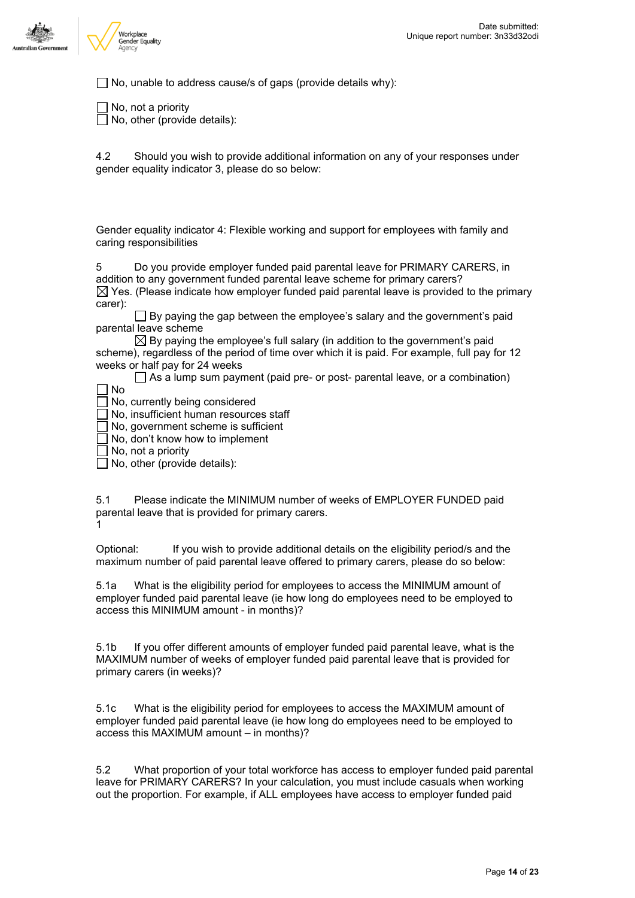

 $\Box$  No, unable to address cause/s of gaps (provide details why):

 $\Box$  No, not a priority No, other (provide details):

4.2 Should you wish to provide additional information on any of your responses under gender equality indicator 3, please do so below:

Gender equality indicator 4: Flexible working and support for employees with family and caring responsibilities

5 Do you provide employer funded paid parental leave for PRIMARY CARERS, in addition to any government funded parental leave scheme for primary carers?  $\boxtimes$  Yes. (Please indicate how employer funded paid parental leave is provided to the primary carer):

 $\Box$  By paying the gap between the employee's salary and the government's paid parental leave scheme

 $\boxtimes$  By paying the employee's full salary (in addition to the government's paid scheme), regardless of the period of time over which it is paid. For example, full pay for 12 weeks or half pay for 24 weeks

 $\Box$  As a lump sum payment (paid pre- or post- parental leave, or a combination)

- No
- $\Box$  No, currently being considered

No, insufficient human resources staff

No, government scheme is sufficient

No, don't know how to implement

No, not a priority

 $\Box$  No, other (provide details):

5.1 Please indicate the MINIMUM number of weeks of EMPLOYER FUNDED paid parental leave that is provided for primary carers.

1

Optional: If you wish to provide additional details on the eligibility period/s and the maximum number of paid parental leave offered to primary carers, please do so below:

5.1a What is the eligibility period for employees to access the MINIMUM amount of employer funded paid parental leave (ie how long do employees need to be employed to access this MINIMUM amount - in months)?

5.1b If you offer different amounts of employer funded paid parental leave, what is the MAXIMUM number of weeks of employer funded paid parental leave that is provided for primary carers (in weeks)?

5.1c What is the eligibility period for employees to access the MAXIMUM amount of employer funded paid parental leave (ie how long do employees need to be employed to access this MAXIMUM amount – in months)?

5.2 What proportion of your total workforce has access to employer funded paid parental leave for PRIMARY CARERS? In your calculation, you must include casuals when working out the proportion. For example, if ALL employees have access to employer funded paid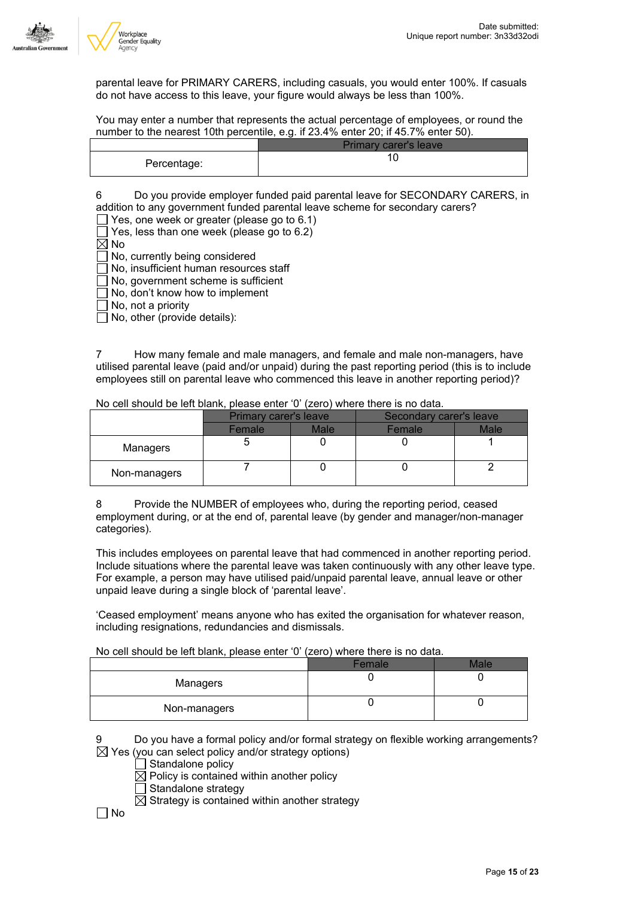

parental leave for PRIMARY CARERS, including casuals, you would enter 100%. If casuals do not have access to this leave, your figure would always be less than 100%.

You may enter a number that represents the actual percentage of employees, or round the number to the nearest 10th percentile, e.g. if 23.4% enter 20; if 45.7% enter 50).

|             | <b>Primary carer's leave</b> |
|-------------|------------------------------|
| Percentage: |                              |

6 Do you provide employer funded paid parental leave for SECONDARY CARERS, in addition to any government funded parental leave scheme for secondary carers?

 $\Box$  Yes, one week or greater (please go to 6.1)

 $\Box$  Yes, less than one week (please go to 6.2)

 $\boxtimes$  No

No, currently being considered

No, insufficient human resources staff

No, government scheme is sufficient

No, don't know how to implement

No, not a priority

 $\Box$  No, other (provide details):

7 How many female and male managers, and female and male non-managers, have utilised parental leave (paid and/or unpaid) during the past reporting period (this is to include employees still on parental leave who commenced this leave in another reporting period)?

|              | Primary carer's leave |             | Secondary carer's leave |      |  |
|--------------|-----------------------|-------------|-------------------------|------|--|
|              | Female                | <b>Male</b> | Female                  | Male |  |
| Managers     |                       |             |                         |      |  |
| Non-managers |                       |             |                         |      |  |

No cell should be left blank, please enter '0' (zero) where there is no data.

8 Provide the NUMBER of employees who, during the reporting period, ceased employment during, or at the end of, parental leave (by gender and manager/non-manager categories).

This includes employees on parental leave that had commenced in another reporting period. Include situations where the parental leave was taken continuously with any other leave type. For example, a person may have utilised paid/unpaid parental leave, annual leave or other unpaid leave during a single block of 'parental leave'.

'Ceased employment' means anyone who has exited the organisation for whatever reason, including resignations, redundancies and dismissals.

No cell should be left blank, please enter '0' (zero) where there is no data.

|              | Female | ماھ / |
|--------------|--------|-------|
| Managers     |        |       |
| Non-managers |        |       |

Do you have a formal policy and/or formal strategy on flexible working arrangements?  $\boxtimes$  Yes (you can select policy and/or strategy options)

- $\Box$  Standalone policy
- $\boxtimes$  Policy is contained within another policy
- $\Box$  Standalone strategy

 $\overline{\boxtimes}$  Strategy is contained within another strategy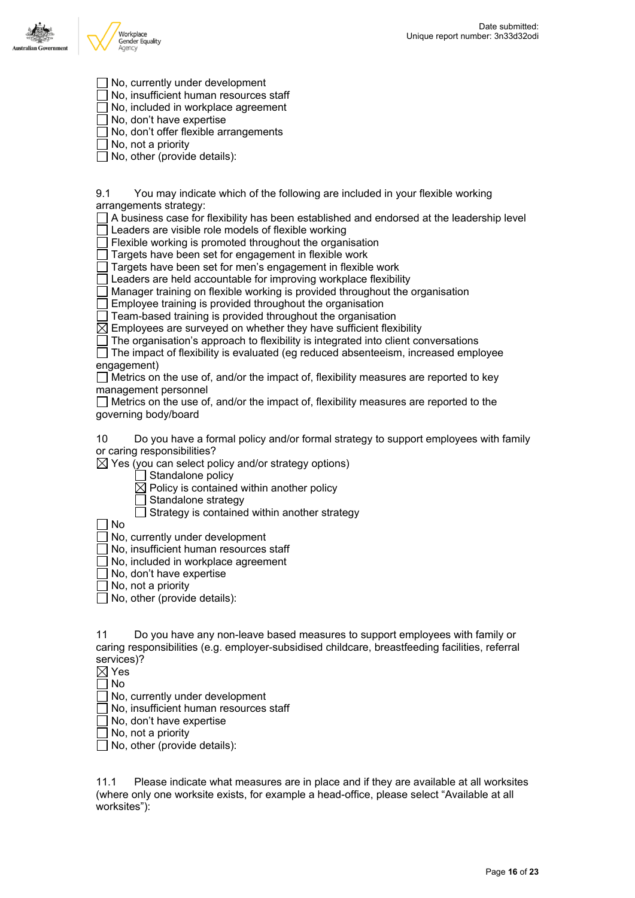



No, currently under development

No, insufficient human resources staff

No, included in workplace agreement

- No, don't have expertise
- $\Box$  No, don't offer flexible arrangements

No, not a priority

 $\Box$  No, other (provide details):

9.1 You may indicate which of the following are included in your flexible working arrangements strategy:

 $\Box$  A business case for flexibility has been established and endorsed at the leadership level

Leaders are visible role models of flexible working

 $\exists$  Flexible working is promoted throughout the organisation

 $\Box$  Targets have been set for engagement in flexible work

 $\Box$  Targets have been set for men's engagement in flexible work

 $\Box$  Leaders are held accountable for improving workplace flexibility

 $\Box$  Manager training on flexible working is provided throughout the organisation

 $\Box$  Employee training is provided throughout the organisation

 $\Box$  Team-based training is provided throughout the organisation

 $\overline{\boxtimes}$  Employees are surveyed on whether they have sufficient flexibility

 $\Box$  The organisation's approach to flexibility is integrated into client conversations

The impact of flexibility is evaluated (eg reduced absenteeism, increased employee engagement)

 $\Box$  Metrics on the use of, and/or the impact of, flexibility measures are reported to key management personnel

 $\Box$  Metrics on the use of, and/or the impact of, flexibility measures are reported to the governing body/board

10 Do you have a formal policy and/or formal strategy to support employees with family or caring responsibilities?

 $\boxtimes$  Yes (you can select policy and/or strategy options)

 $\Box$  Standalone policy

 $\boxtimes$  Policy is contained within another policy

- Standalone strategy
- $\Box$  Strategy is contained within another strategy

No

No, currently under development

No, insufficient human resources staff

No, included in workplace agreement

 $\Box$  No, don't have expertise

No, not a priority

 $\Box$  No, other (provide details):

11 Do you have any non-leave based measures to support employees with family or caring responsibilities (e.g. employer-subsidised childcare, breastfeeding facilities, referral services)?

⊠ Yes

No

No, currently under development

No, insufficient human resources staff

No, don't have expertise

No, not a priority

 $\Box$  No, other (provide details):

11.1 Please indicate what measures are in place and if they are available at all worksites (where only one worksite exists, for example a head-office, please select "Available at all worksites"):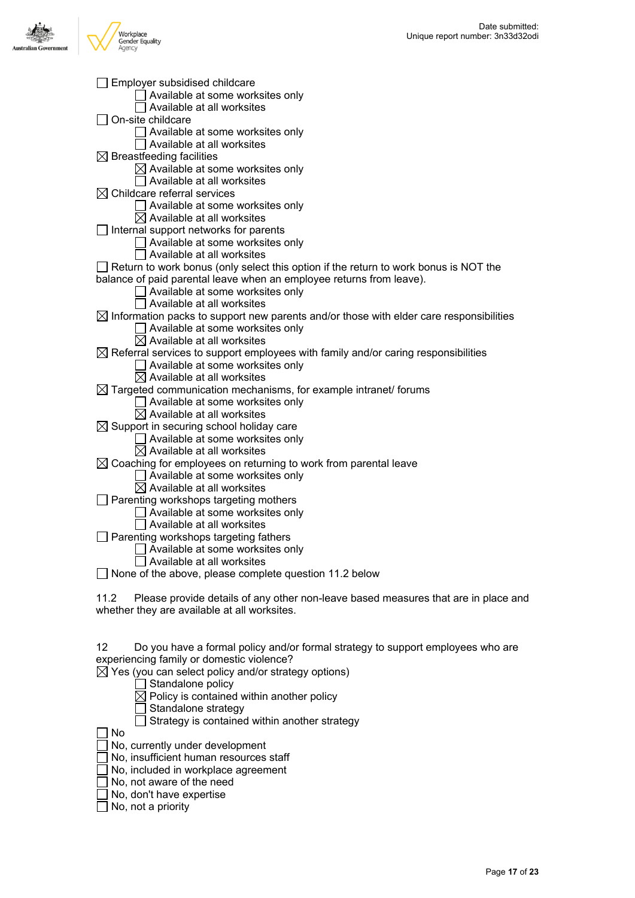

| Sumployer subsidised childcare                                                                                                         |
|----------------------------------------------------------------------------------------------------------------------------------------|
| Available at some worksites only                                                                                                       |
| Available at all worksites                                                                                                             |
| On-site childcare                                                                                                                      |
| Available at some worksites only                                                                                                       |
| Available at all worksites                                                                                                             |
| $\boxtimes$ Breastfeeding facilities                                                                                                   |
| $\boxtimes$ Available at some worksites only                                                                                           |
| Available at all worksites                                                                                                             |
| $\boxtimes$ Childcare referral services                                                                                                |
| Available at some worksites only                                                                                                       |
| $\boxtimes$ Available at all worksites                                                                                                 |
| $\Box$ Internal support networks for parents                                                                                           |
| Available at some worksites only                                                                                                       |
| Available at all worksites                                                                                                             |
| $\Box$ Return to work bonus (only select this option if the return to work bonus is NOT the                                            |
| balance of paid parental leave when an employee returns from leave).                                                                   |
| Available at some worksites only<br>Available at all worksites                                                                         |
|                                                                                                                                        |
| $\boxtimes$ Information packs to support new parents and/or those with elder care responsibilities<br>Available at some worksites only |
| $\boxtimes$ Available at all worksites                                                                                                 |
| $\boxtimes$ Referral services to support employees with family and/or caring responsibilities                                          |
| Available at some worksites only                                                                                                       |
| $\boxtimes$ Available at all worksites                                                                                                 |
| $\boxtimes$ Targeted communication mechanisms, for example intranet/ forums                                                            |
| Available at some worksites only                                                                                                       |
| $\boxtimes$ Available at all worksites                                                                                                 |
| $\boxtimes$ Support in securing school holiday care                                                                                    |
| Available at some worksites only                                                                                                       |
| $\boxtimes$ Available at all worksites                                                                                                 |
| $\boxtimes$ Coaching for employees on returning to work from parental leave                                                            |
| Available at some worksites only                                                                                                       |
| $\boxtimes$ Available at all worksites                                                                                                 |
| Parenting workshops targeting mothers                                                                                                  |
| Available at some worksites only                                                                                                       |
| Available at all worksites                                                                                                             |
| $\Box$ Parenting workshops targeting fathers                                                                                           |
| Available at some worksites only                                                                                                       |
| Available at all worksites                                                                                                             |
| None of the above, please complete question 11.2 below                                                                                 |
|                                                                                                                                        |

11.2 Please provide details of any other non-leave based measures that are in place and whether they are available at all worksites.

12 Do you have a formal policy and/or formal strategy to support employees who are experiencing family or domestic violence?

 $\boxtimes$  Yes (you can select policy and/or strategy options)

- $\overleftrightarrow{\Box}$  Standalone policy
- $\overline{\boxtimes}$  Policy is contained within another policy
- $\overline{\Box}$  Standalone strategy
	- $\Box$  Strategy is contained within another strategy

 $\Box$  No

- No, currently under development
- No, insufficient human resources staff
- □ No, included in workplace agreement
- No, not aware of the need
- No, don't have expertise
- $\overline{\Box}$  No, not a priority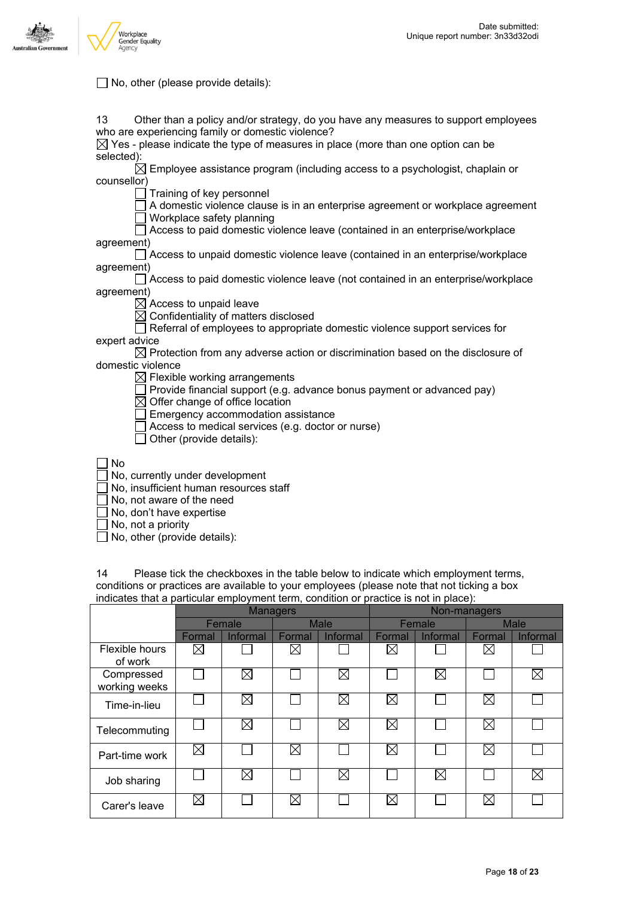

#### □ No, other (please provide details):

| 13<br>Other than a policy and/or strategy, do you have any measures to support employees     |
|----------------------------------------------------------------------------------------------|
| who are experiencing family or domestic violence?                                            |
| $\boxtimes$ Yes - please indicate the type of measures in place (more than one option can be |
| selected):                                                                                   |
| $\boxtimes$ Employee assistance program (including access to a psychologist, chaplain or     |
| counsellor)                                                                                  |
| Training of key personnel                                                                    |
| A domestic violence clause is in an enterprise agreement or workplace agreement              |
| Workplace safety planning                                                                    |
| Access to paid domestic violence leave (contained in an enterprise/workplace                 |
| agreement)                                                                                   |
| Access to unpaid domestic violence leave (contained in an enterprise/workplace               |
| agreement)                                                                                   |
| Access to paid domestic violence leave (not contained in an enterprise/workplace             |
| agreement)                                                                                   |
| $\boxtimes$ Access to unpaid leave                                                           |
| $\boxtimes$ Confidentiality of matters disclosed                                             |
| Referral of employees to appropriate domestic violence support services for                  |
| expert advice                                                                                |
| $\boxtimes$ Protection from any adverse action or discrimination based on the disclosure of  |
| domestic violence                                                                            |
| $\boxtimes$ Flexible working arrangements                                                    |
| Provide financial support (e.g. advance bonus payment or advanced pay)                       |
| $\boxtimes$ Offer change of office location                                                  |
| Emergency accommodation assistance                                                           |
| Access to medical services (e.g. doctor or nurse)                                            |
| Other (provide details):                                                                     |
|                                                                                              |
| No                                                                                           |
|                                                                                              |
| No, currently under development                                                              |

No, insufficient human resources staff

No, not aware of the need

 $\overline{\Box}$  No, don't have expertise

No, not a priority

No, other (provide details):

14 Please tick the checkboxes in the table below to indicate which employment terms, conditions or practices are available to your employees (please note that not ticking a box indicates that a particular employment term, condition or practice is not in place):

|                             | <b>Managers</b> |             |             |             |        | Non-managers |             |          |  |
|-----------------------------|-----------------|-------------|-------------|-------------|--------|--------------|-------------|----------|--|
|                             | Female          |             | <b>Male</b> |             | Female |              | <b>Male</b> |          |  |
|                             | Formal          | Informal    | Formal      | Informal    | Formal | Informal     | Formal      | Informal |  |
| Flexible hours<br>of work   | ⊠               |             | ⊠           |             | ⊠      |              | ⊠           |          |  |
| Compressed<br>working weeks |                 | ⊠           |             | ⊠           |        | $\bowtie$    |             | ⊠        |  |
| Time-in-lieu                |                 | ⊠           |             | $\boxtimes$ | ⊠      |              | ⊠           |          |  |
| Telecommuting               |                 | $\boxtimes$ |             | ⊠           | ⊠      |              | $\boxtimes$ |          |  |
| Part-time work              | ⊠               |             | ⊠           |             | ⊠      |              | ⊠           |          |  |
| Job sharing                 |                 | ⊠           |             | $\boxtimes$ |        | $\bowtie$    |             | ⊠        |  |
| Carer's leave               | ⊠               |             | ⊠           |             | ⊠      |              | $\boxtimes$ |          |  |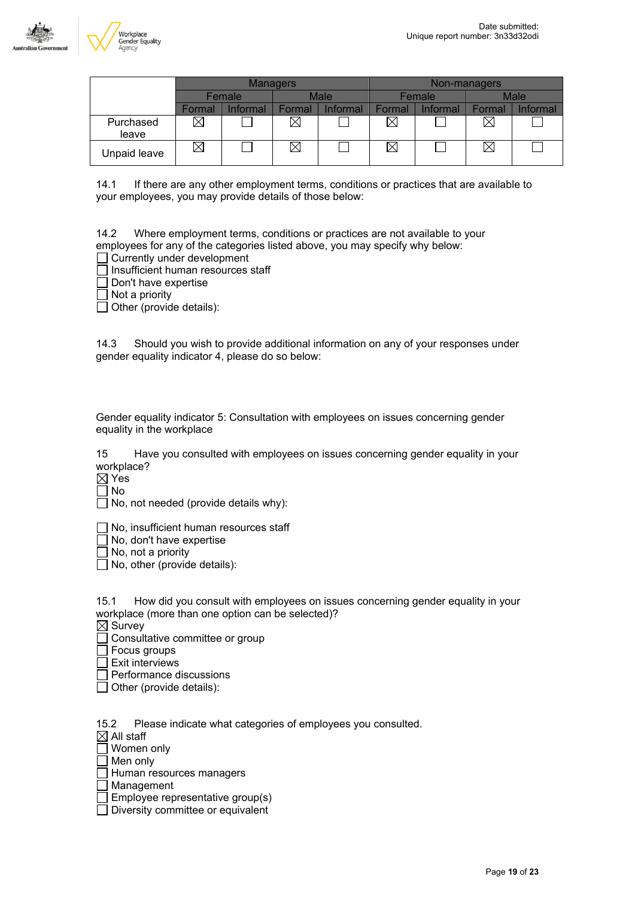

|                    |        |                       | <b>Managers</b> |                        |        |             | Non-managers |          |
|--------------------|--------|-----------------------|-----------------|------------------------|--------|-------------|--------------|----------|
|                    |        | <b>Male</b><br>Female |                 | Female                 |        | <b>Male</b> |              |          |
|                    | Formal | Informal              | Formal          | <i><b>Informal</b></i> | Formal | Informal    | Formal       | Informal |
| Purchased<br>leave | ×      |                       | ⋉               |                        | ⊠      |             |              |          |
| Unpaid leave       | ⋉      |                       | Χ               |                        | ⊠      |             |              |          |

14.1 If there are any other employment terms, conditions or practices that are available to your employees, you may provide details of those below:

14.2 Where employment terms, conditions or practices are not available to your employees for any of the categories listed above, you may specify why below:

□ Currently under development

 $\Box$  Insufficient human resources staff

 $\Box$  Don't have expertise

 $\Box$  Not a priority

 $\Box$  Other (provide details):

14.3 Should you wish to provide additional information on any of your responses under gender equality indicator 4, please do so below:

Gender equality indicator 5: Consultation with employees on issues concerning gender equality in the workplace

15 Have you consulted with employees on issues concerning gender equality in your workplace?

 $\boxtimes$  Yes

 $\Box$  No

 $\Box$  No, not needed (provide details why):

No, insufficient human resources staff

 $\Box$  No, don't have expertise

 $\Box$  No, not a priority

 $\Box$  No, other (provide details):

15.1 How did you consult with employees on issues concerning gender equality in your workplace (more than one option can be selected)?

 $\boxtimes$  Survey

Consultative committee or group

 $\Box$  Focus groups

 $\exists$  Exit interviews

Performance discussions

 $\Box$  Other (provide details):

15.2 Please indicate what categories of employees you consulted.

 $\boxtimes$  All staff

Women only

 $\Box$  Men only

 $\Box$  Human resources managers

□ Management

 $\Box$  Employee representative group(s)

Diversity committee or equivalent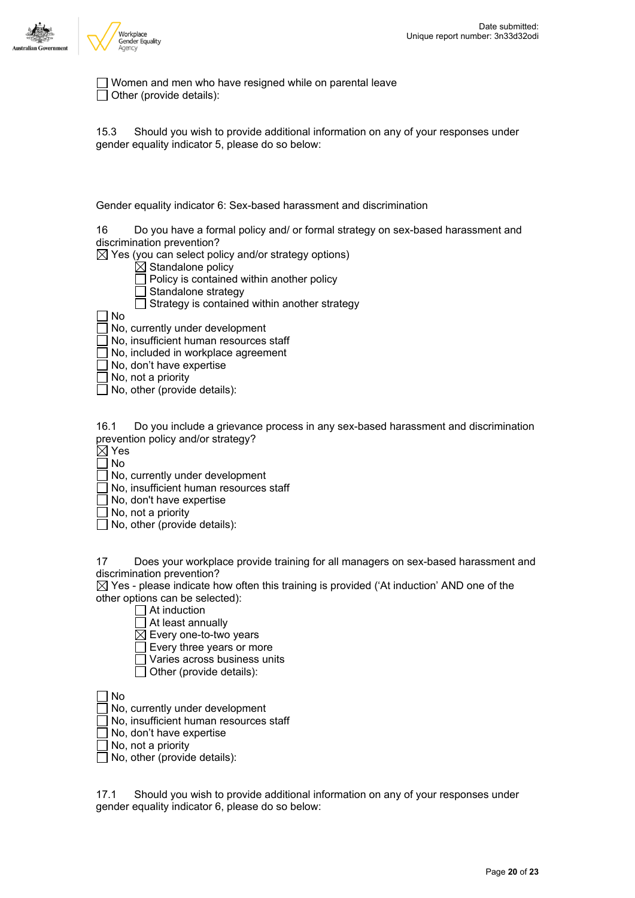

Women and men who have resigned while on parental leave Other (provide details):

15.3 Should you wish to provide additional information on any of your responses under gender equality indicator 5, please do so below:

Gender equality indicator 6: Sex-based harassment and discrimination

16 Do you have a formal policy and/ or formal strategy on sex-based harassment and discrimination prevention?

 $\boxtimes$  Yes (you can select policy and/or strategy options)

- $\overline{\boxtimes}$  Standalone policy
- $\Box$  Policy is contained within another policy
- $\Box$  Standalone strategy
- $\Box$  Strategy is contained within another strategy
- No

No, currently under development

No, insufficient human resources staff

 $\frac{1}{2}$  No, included in workplace agreement

No, don't have expertise

No, not a priority

 $\Box$  No, other (provide details):

16.1 Do you include a grievance process in any sex-based harassment and discrimination prevention policy and/or strategy?

 $\boxtimes$  Yes

No

No, currently under development

No, insufficient human resources staff

No, don't have expertise

 $\Box$  No, not a priority

No, other (provide details):

17 Does your workplace provide training for all managers on sex-based harassment and discrimination prevention?

 $\boxtimes$  Yes - please indicate how often this training is provided ('At induction' AND one of the other options can be selected):

 $\Box$  At induction

 $\Box$  At least annually

 $\boxtimes$  Every one-to-two years

Every three years or more

- Varies across business units
- $\Box$  Other (provide details):

No

No, currently under development

No, insufficient human resources staff

No, don't have expertise

No, not a priority

 $\Box$  No, other (provide details):

17.1 Should you wish to provide additional information on any of your responses under gender equality indicator 6, please do so below: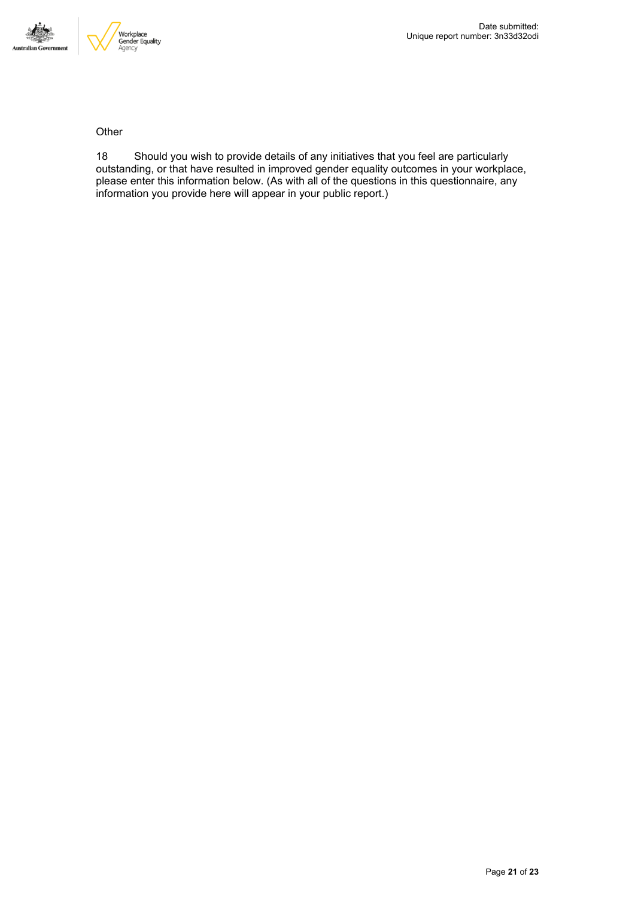

**Other** 

18 Should you wish to provide details of any initiatives that you feel are particularly outstanding, or that have resulted in improved gender equality outcomes in your workplace, please enter this information below. (As with all of the questions in this questionnaire, any information you provide here will appear in your public report.)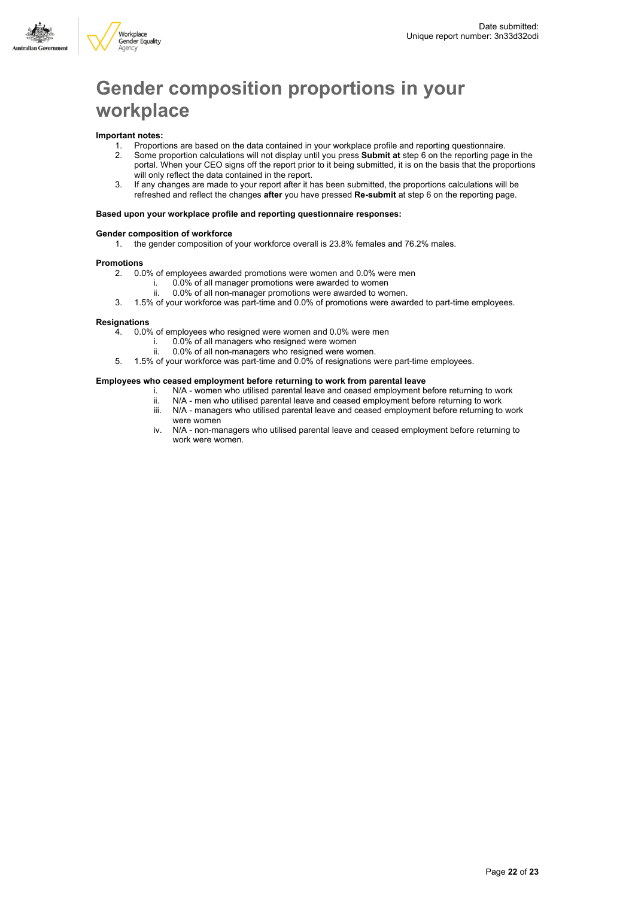



## **Gender composition proportions in your workplace**

#### **Important notes:**

1. Proportions are based on the data contained in your workplace profile and reporting questionnaire.

- 2. Some proportion calculations will not display until you press **Submit at** step 6 on the reporting page in the portal. When your CEO signs off the report prior to it being submitted, it is on the basis that the proportions will only reflect the data contained in the report.
- 3. If any changes are made to your report after it has been submitted, the proportions calculations will be refreshed and reflect the changes **after** you have pressed **Re-submit** at step 6 on the reporting page.

#### **Based upon your workplace profile and reporting questionnaire responses:**

#### **Gender composition of workforce**

1. the gender composition of your workforce overall is 23.8% females and 76.2% males.

### **Promotions**

2. 0.0% of employees awarded promotions were women and 0.0% were men

- i. 0.0% of all manager promotions were awarded to women
- ii. 0.0% of all non-manager promotions were awarded to women.
- 3. 1.5% of your workforce was part-time and 0.0% of promotions were awarded to part-time employees.

#### **Resignations**

- 4. 0.0% of employees who resigned were women and 0.0% were men
	- i.  $0.0\%$  of all managers who resigned were women<br>ii. 0.0% of all non-managers who resigned were wo
	- 0.0% of all non-managers who resigned were women.
- 5. 1.5% of your workforce was part-time and 0.0% of resignations were part-time employees.

#### **Employees who ceased employment before returning to work from parental leave**

- i. N/A women who utilised parental leave and ceased employment before returning to work
- ii. N/A men who utilised parental leave and ceased employment before returning to work
- iii. N/A managers who utilised parental leave and ceased employment before returning to work were women
- iv. N/A non-managers who utilised parental leave and ceased employment before returning to work were women.